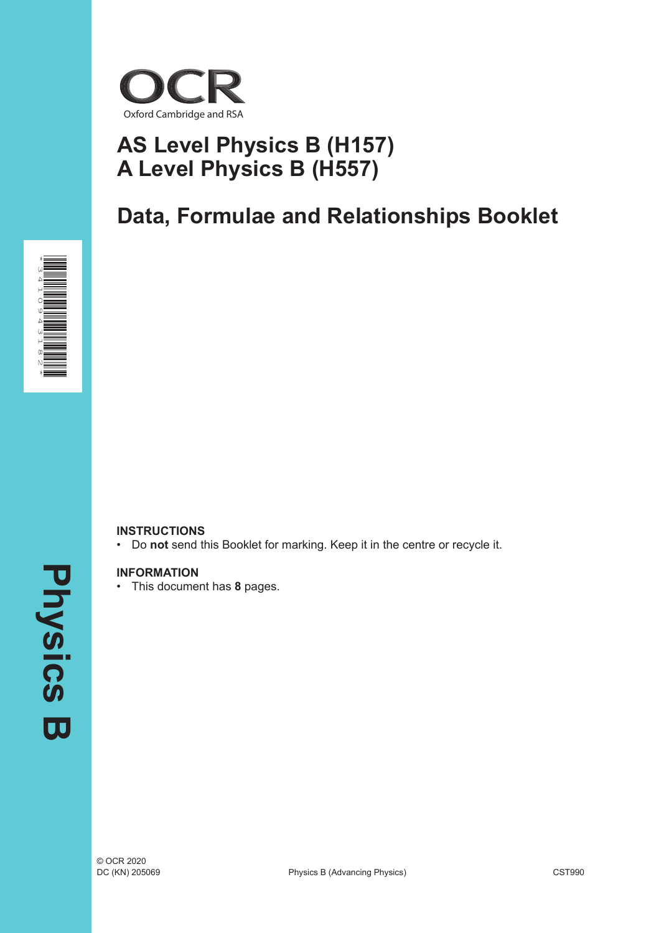

# **AS Level Physics B (H157) A Level Physics B (H557)**

# **Data, Formulae and Relationships Booklet**



#### **INSTRUCTIONS**

• Do **not** send this Booklet for marking. Keep it in the centre or recycle it.

#### **INFORMATION**

• This document has **8** pages.

**Physics Physics B**  $\overline{\mathbf{u}}$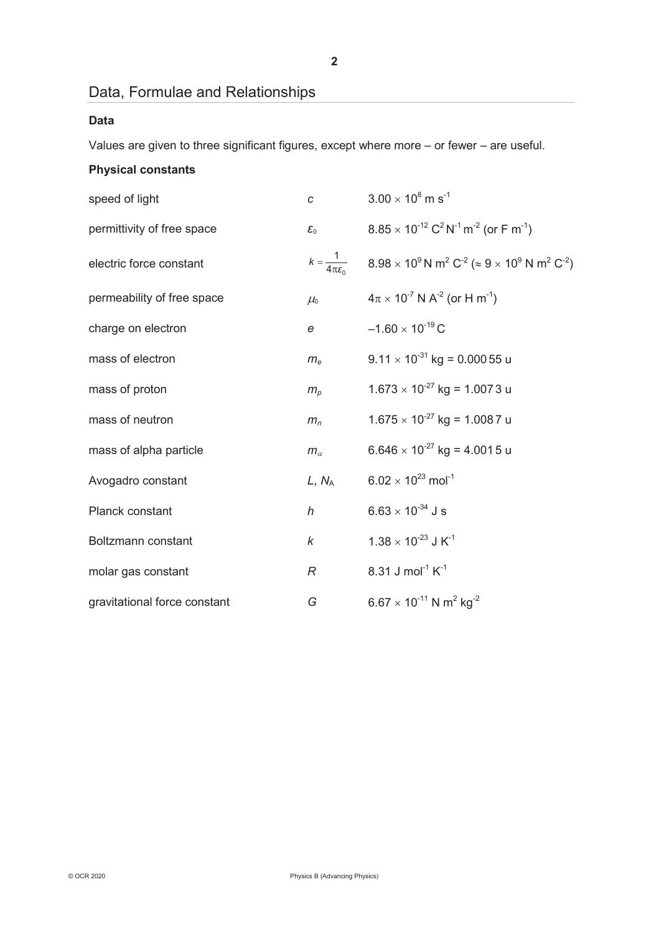### Data, Formulae and Relationships

#### **Data**

Values are given to three significant figures, except where more – or fewer – are useful.

### **Physical constants**

| speed of light               | C                              | $3.00 \times 10^8$ m s <sup>-1</sup>                                                                             |
|------------------------------|--------------------------------|------------------------------------------------------------------------------------------------------------------|
| permittivity of free space   | $\mathcal{E}_0$                | $8.85 \times 10^{-12}$ C <sup>2</sup> N <sup>-1</sup> m <sup>-2</sup> (or F m <sup>-1</sup> )                    |
| electric force constant      | $k = \frac{1}{4\pi\epsilon_0}$ | $8.98 \times 10^9$ N m <sup>2</sup> C <sup>-2</sup> ( $\approx 9 \times 10^9$ N m <sup>2</sup> C <sup>-2</sup> ) |
| permeability of free space   | $\mu_{0}$                      | $4\pi \times 10^{-7}$ N A <sup>-2</sup> (or H m <sup>-1</sup> )                                                  |
| charge on electron           | e                              | $-1.60 \times 10^{-19}$ C                                                                                        |
| mass of electron             | $m_e$                          | $9.11 \times 10^{-31}$ kg = 0.000 55 u                                                                           |
| mass of proton               | $m_p$                          | $1.673 \times 10^{-27}$ kg = 1.0073 u                                                                            |
| mass of neutron              | $m_n$                          | $1.675 \times 10^{-27}$ kg = 1.0087 u                                                                            |
| mass of alpha particle       | $m_{\alpha}$                   | $6.646 \times 10^{-27}$ kg = 4.0015 u                                                                            |
| Avogadro constant            | $L, N_A$                       | $6.02 \times 10^{23}$ mol <sup>-1</sup>                                                                          |
| Planck constant              | $\boldsymbol{h}$               | $6.63 \times 10^{-34}$ J s                                                                                       |
| Boltzmann constant           | k                              | $1.38 \times 10^{-23}$ J K <sup>-1</sup>                                                                         |
| molar gas constant           | R                              | 8.31 J mol <sup>-1</sup> $K^{-1}$                                                                                |
| gravitational force constant | G                              | $6.67 \times 10^{-11}$ N m <sup>2</sup> kg <sup>-2</sup>                                                         |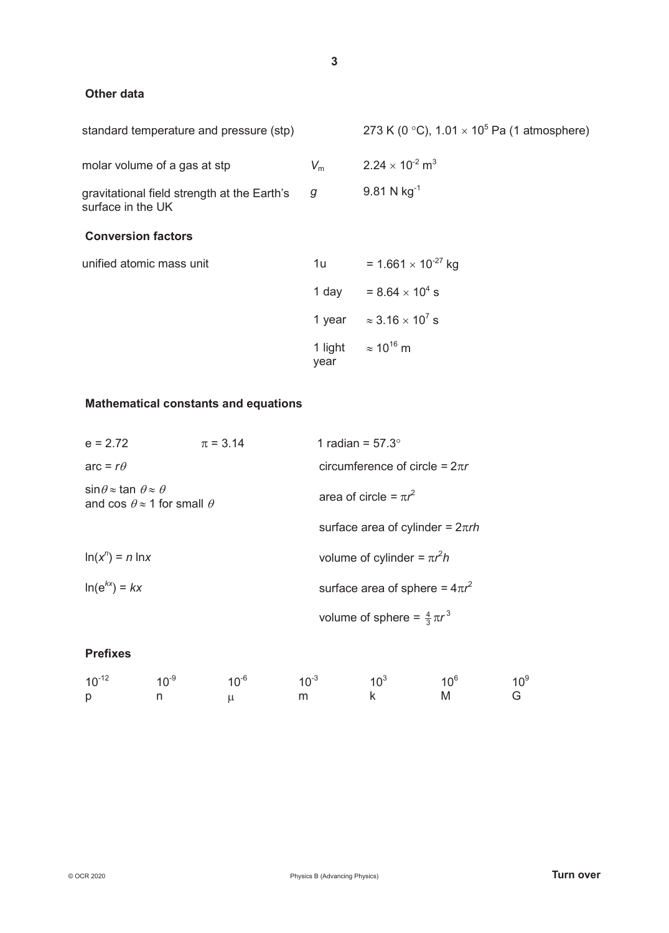#### **Other data**

| standard temperature and pressure (stp)                          |             | 273 K (0 °C), $1.01 \times 10^5$ Pa (1 atmosphere) |
|------------------------------------------------------------------|-------------|----------------------------------------------------|
| molar volume of a gas at stp                                     | $V_{\rm m}$ | $2.24 \times 10^{-2}$ m <sup>3</sup>               |
| gravitational field strength at the Earth's<br>surface in the UK | g           | $9.81 N kg^{-1}$                                   |
| <b>Conversion factors</b>                                        |             |                                                    |
| unified atomic mass unit                                         | 1u l        | = 1.661 $\times$ 10 <sup>-27</sup> kg              |
|                                                                  |             | 1 day = $8.64 \times 10^4$ s                       |
|                                                                  |             | 1 year $\approx 3.16 \times 10^7$ s                |
|                                                                  | year        | 1 light $\approx 10^{16}$ m                        |

#### **Mathematical constants and equations**

| $e = 272$                                                                                        | $\pi = 3.14$ | 1 radian = $57.3^\circ$                 |
|--------------------------------------------------------------------------------------------------|--------------|-----------------------------------------|
| arc = $r\theta$                                                                                  |              | circumference of circle = $2\pi r$      |
| $\sin\theta \approx \tan \theta \approx \theta$<br>and cos $\theta \approx 1$ for small $\theta$ |              | area of circle = $\pi r^2$              |
|                                                                                                  |              | surface area of cylinder = $2\pi rh$    |
| $\ln(x^n) = n \ln x$                                                                             |              | volume of cylinder = $\pi r^2 h$        |
| $\ln(e^{kx}) = kx$                                                                               |              | surface area of sphere = $4\pi r^2$     |
|                                                                                                  |              | volume of sphere = $\frac{4}{3}\pi r^3$ |

#### **Prefixes**

|   |                               |  | $10^{-12}$ $10^{-9}$ $10^{-6}$ $10^{-3}$ $10^{3}$ $10^{6}$ $10^{9}$ |  |
|---|-------------------------------|--|---------------------------------------------------------------------|--|
| p | $\mathsf{n}$ and $\mathsf{n}$ |  | m k M G                                                             |  |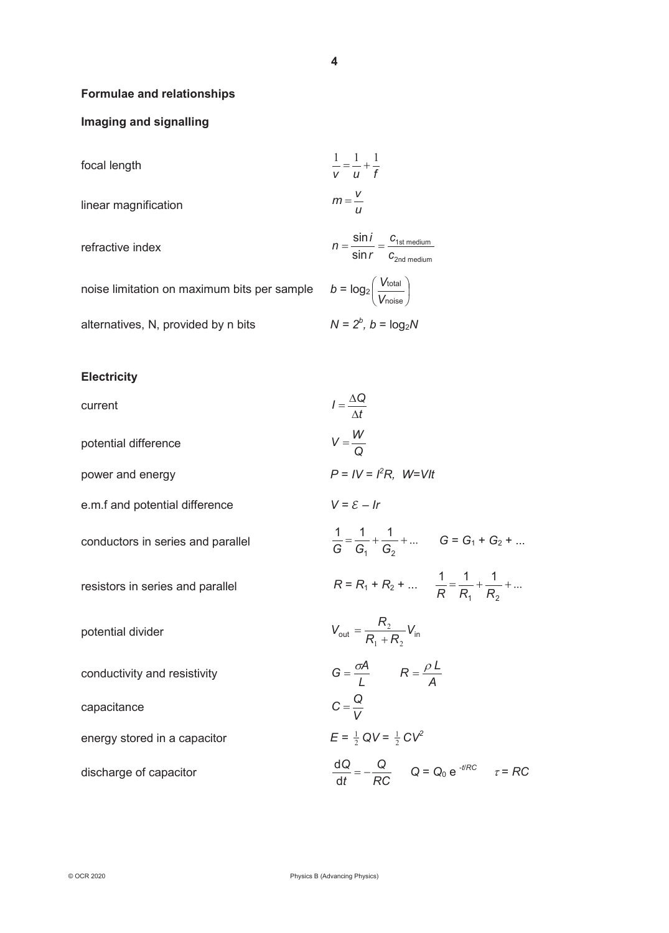2nd medium

J

 $\left(\frac{V_{\text{total}}}{V}\right)$ 

noise total *V V*

 $\overline{\phantom{0}}$ ſ

 $N = 2<sup>b</sup>$ ,  $b = log<sub>2</sub>N$ 

#### **Formulae and relationships**

#### **Imaging and signalling**

| focal length         | $\frac{1}{v} = \frac{1}{u} + \frac{1}{f}$                                                          |
|----------------------|----------------------------------------------------------------------------------------------------|
| linear magnification | $m=\frac{V}{U}$                                                                                    |
| refractive index     | $n = \frac{\sin i}{\sin r} = \frac{c_{1st\text{ medium}}}{c_{2nd\text{ medium}}}$<br>$c2nd$ mediun |

noise limitation on maximum bits per sample

alternatives, N, provided by n bits

#### **Electricity**

| current                           | $I = \frac{\Delta Q}{\Delta t}$                                               |
|-----------------------------------|-------------------------------------------------------------------------------|
| potential difference              | $V = \frac{W}{Q}$                                                             |
| power and energy                  | $P = IV = I2R$ , $W=V/t$                                                      |
| e.m.f and potential difference    | $V = \mathcal{E} - Ir$                                                        |
| conductors in series and parallel | $\frac{1}{G} = \frac{1}{G_1} + \frac{1}{G_2} + \dots$ $G = G_1 + G_2 + \dots$ |
| resistors in series and parallel  | $R = R_1 + R_2 + $ $\frac{1}{R} = \frac{1}{R_1} + \frac{1}{R_2} + $           |
| potential divider                 | $V_{\text{out}} = \frac{R_2}{R_1 + R_2} V_{\text{in}}$                        |
| conductivity and resistivity      | $G = \frac{\sigma A}{l}$ $R = \frac{\rho L}{\Lambda}$                         |
| capacitance                       | $C = \frac{Q}{V}$                                                             |
| energy stored in a capacitor      | $E = \frac{1}{2} QV = \frac{1}{2}CV^2$                                        |
| discharge of capacitor            | $\frac{dQ}{dt} = -\frac{Q}{RC}$ $Q = Q_0 e^{-t/RC}$ $\tau = RC$               |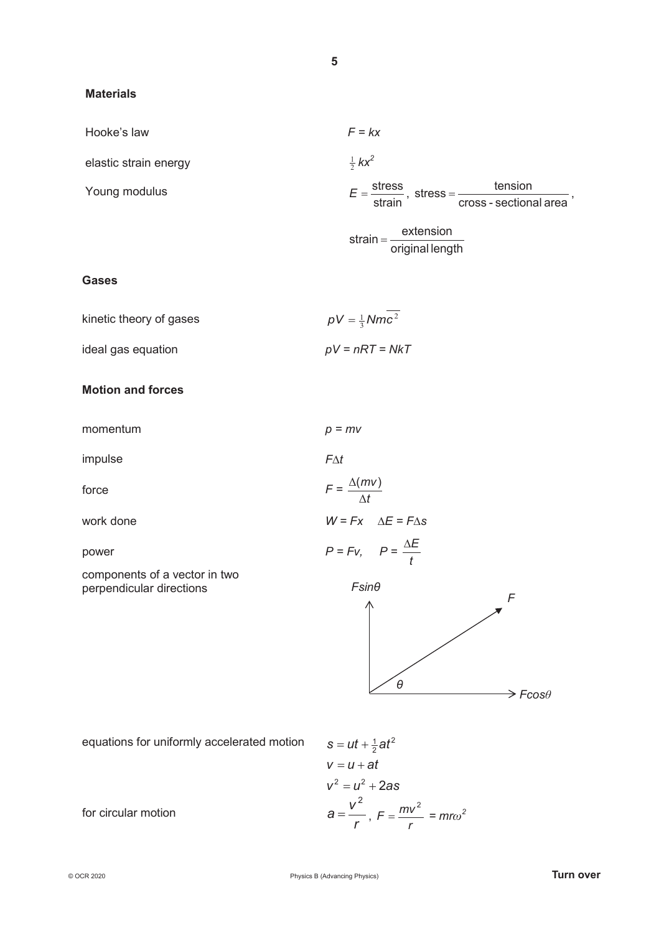#### **Materials**

Hooke's law

elastic strain energy <sup>2</sup>

Young modulus

$$
F = kx
$$
  
\n
$$
\frac{1}{2} kx^2
$$
  
\n
$$
E = \frac{\text{stress}}{\text{strain}}, \text{ stress} = \frac{\text{tension}}{\text{cross - sectional area}},
$$
  
\nstrain =  $\frac{\text{extension}}{\text{median}}$ 

$$
f(x) = \frac{1}{\text{original length}}
$$

#### **Gases**

| kinetic theory of gases | $pV = \frac{1}{3} Nmc^2$ |
|-------------------------|--------------------------|
| ideal gas equation      | $pV = nRT = NkT$         |

#### **Motion and forces**

momentum *p = mv*

impulse *F*∆*t* 

force *F =* 

work done *W = Fx* ∆*E = F*∆*s*

components of a vector in two perpendicular directions



equations for uniformly accelerated motion = +

$$
s = ut + \frac{1}{2}at^2
$$
  
\n
$$
v = u + at
$$
  
\n
$$
v^2 = u^2 + 2as
$$
  
\n
$$
a = \frac{v^2}{r}, F = \frac{mv^2}{r} = mr\omega^2
$$

*t mv* Δ  $\Delta$ (mv)

for circular motion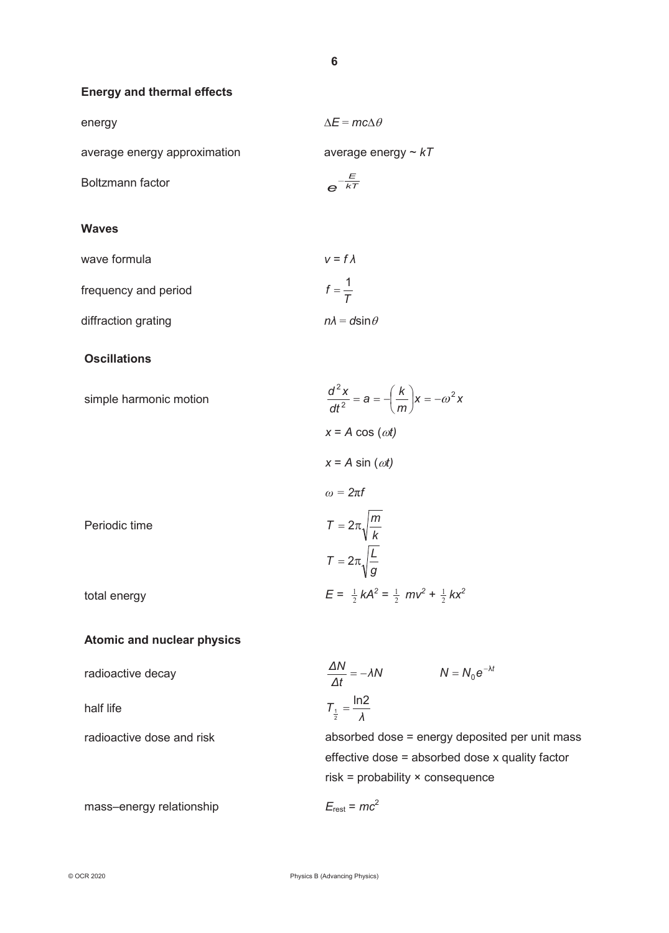$f = \frac{1}{T}$ 

#### **Energy and thermal effects**

| energy                       | $\Delta E = mc\Delta \theta$ |
|------------------------------|------------------------------|
| average energy approximation | average energy $\sim kT$     |
| Boltzmann factor             | kT                           |

#### **Waves**

wave formula  $v = f \lambda$ 

frequency and period

diffraction grating *nλ* = *d*sinθ

#### **Oscillations**

|               | $x = A \cos(\omega t)$                                    |
|---------------|-----------------------------------------------------------|
|               | $x = A \sin(\omega t)$                                    |
|               | $\omega = 2\pi f$                                         |
| Periodic time | $T = 2\pi \sqrt{\frac{m}{k}}$                             |
|               | $T = 2\pi \sqrt{\frac{L}{q}}$                             |
| total energy  | $E = \frac{1}{2}kA^2 = \frac{1}{2}mv^2 + \frac{1}{2}kx^2$ |

#### **Atomic and nuclear physics**

| radioactive decay         | $\frac{\Delta N}{\Delta t} = -\lambda N$<br>$N = N_0 e^{-\lambda t}$ |
|---------------------------|----------------------------------------------------------------------|
| half life                 | $T_{\frac{1}{2}} = \frac{\ln 2}{\lambda}$                            |
| radioactive dose and risk | absorbed dose = energy deposited per unit mass                       |
|                           | effective dose = absorbed dose x quality factor                      |

risk = probability × consequence

mass–energy relationship  $E_{\text{rest}} = mc^2$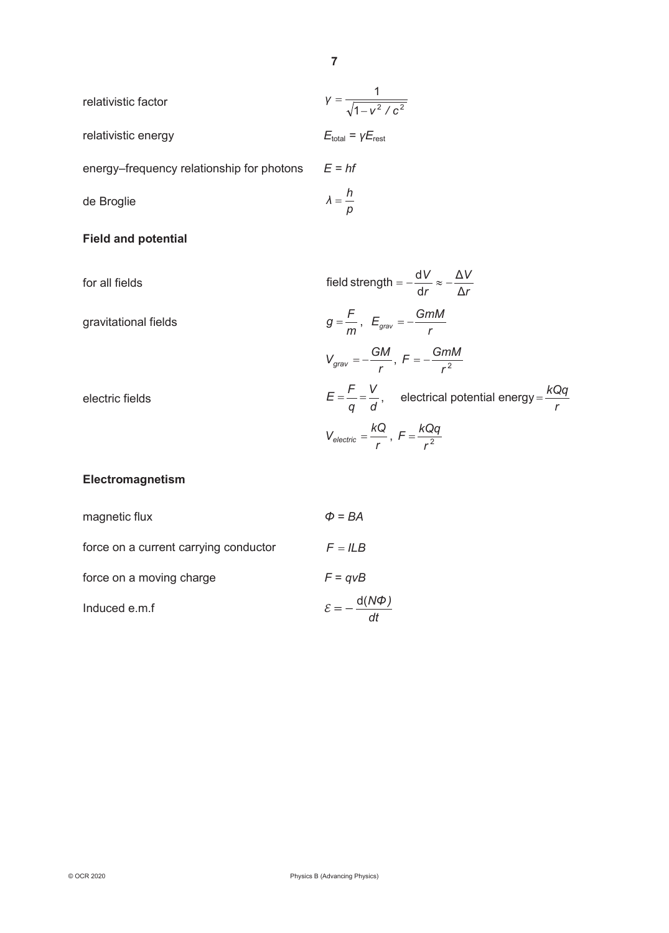| relativistic factor                       | $V = \frac{1}{\sqrt{1 - v^2/c^2}}$          |
|-------------------------------------------|---------------------------------------------|
| relativistic energy                       | $E_{\text{total}} = \gamma E_{\text{rest}}$ |
| energy–frequency relationship for photons | $E = hf$                                    |
| de Broglie                                | $\lambda = \frac{h}{p}$                     |

#### **Field and potential**

for all fields *r V r V* Δ Δ d field strength =  $-\frac{dV}{dr}\approx$ gravitational fields *m*  $g = \frac{F}{m}$ ,  $E_{grav} = -\frac{GmM}{r}$  $V_{grav} = -\frac{GM}{r}$ ,  $F = -\frac{GmM}{r^2}$ electric fields  $E = \frac{\overline{q}}{q} = \frac{\overline{q}}{d}$ *V q*  $E = \frac{F}{r} = \frac{V}{r}$ , electrical potential energy *r kQq* <sup>=</sup>  $V_{electric} = \frac{kQ}{r}$ ,  $F = \frac{kQq}{r^2}$ 

#### **Electromagnetism**

| magnetic flux                         | $\Phi = BA$                        |
|---------------------------------------|------------------------------------|
| force on a current carrying conductor | $F = ILB$                          |
| force on a moving charge              | $F = qvB$                          |
| Induced e.m.f                         | $\mathcal{E}=-\frac{d(N\Phi)}{dt}$ |